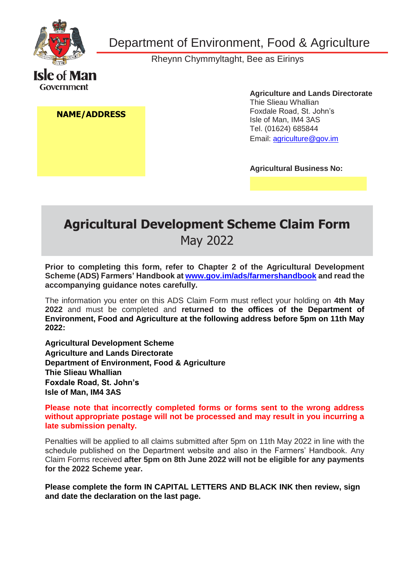

Department of Environment, Food & Agriculture

Rheynn Chymmyltaght, Bee as Eirinys

**NAME/ADDRESS**

**Agriculture and Lands Directorate** Thie Slieau Whallian Foxdale Road, St. John's Isle of Man, IM4 3AS Tel. (01624) 685844 [Email: agriculture@gov.im](mailto:agriculture@gov.im) 

**Agricultural Business No:**

# **Agricultural Development Scheme Claim Form** May 2022

**Prior to completing this form, refer to Chapter 2 of the Agricultural Development Scheme (ADS) Farmers' Handbook at [www.gov.im/ads/farmershandbook](http://www.gov.im/ads/farmershandbook) and read the accompanying guidance notes carefully.**

The information you enter on this ADS Claim Form must reflect your holding on **4th May 2022** and must be completed and **returned to the offices of the Department of Environment, Food and Agriculture at the following address before 5pm on 11th May 2022:**

**Agricultural Development Scheme Agriculture and Lands Directorate Department of Environment, Food & Agriculture Thie Slieau Whallian Foxdale Road, St. John's Isle of Man, IM4 3AS**

**Please note that incorrectly completed forms or forms sent to the wrong address without appropriate postage will not be processed and may result in you incurring a late submission penalty.**

Penalties will be applied to all claims submitted after 5pm on 11th May 2022 in line with the schedule published on the Department website and also in the Farmers' Handbook. Any Claim Forms received **after 5pm on 8th June 2022 will not be eligible for any payments for the 2022 Scheme year.**

**Please complete the form IN CAPITAL LETTERS AND BLACK INK then review, sign and date the declaration on the last page.**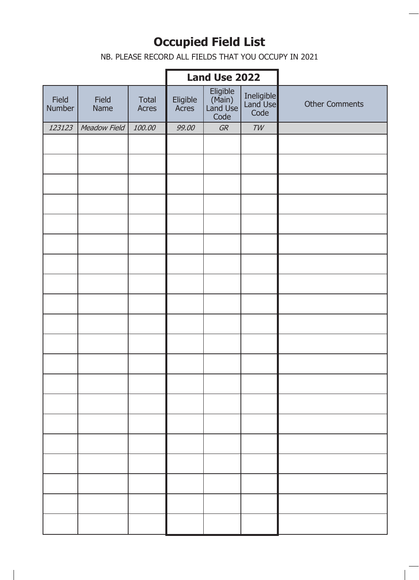# **Occupied Field List**

NB. PLEASE RECORD ALL FIELDS THAT YOU OCCUPY IN 2021

#### SCHEME YEAR **Land Use 2022**

٦

| Field<br>Number | Field<br>Name | Total<br>Acres | Eligible<br>Acres | Eligible<br>(Main)<br>Land Use<br>Code | Ineligible<br>Land Use<br>Code | <b>Other Comments</b> |
|-----------------|---------------|----------------|-------------------|----------------------------------------|--------------------------------|-----------------------|
| 123123          | Meadow Field  | 100.00         | 99.00             | GR                                     | $\mathcal{TW}$                 |                       |
|                 |               |                |                   |                                        |                                |                       |
|                 |               |                |                   |                                        |                                |                       |
|                 |               |                |                   |                                        |                                |                       |
|                 |               |                |                   |                                        |                                |                       |
|                 |               |                |                   |                                        |                                |                       |
|                 |               |                |                   |                                        |                                |                       |
|                 |               |                |                   |                                        |                                |                       |
|                 |               |                |                   |                                        |                                |                       |
|                 |               |                |                   |                                        |                                |                       |
|                 |               |                |                   |                                        |                                |                       |
|                 |               |                |                   |                                        |                                |                       |
|                 |               |                |                   |                                        |                                |                       |
|                 |               |                |                   |                                        |                                |                       |
|                 |               |                |                   |                                        |                                |                       |
|                 |               |                |                   |                                        |                                |                       |
|                 |               |                |                   |                                        |                                |                       |
|                 |               |                |                   |                                        |                                |                       |
|                 |               |                |                   |                                        |                                |                       |
|                 |               |                |                   |                                        |                                |                       |
|                 |               |                |                   |                                        |                                |                       |
|                 |               |                |                   |                                        |                                |                       |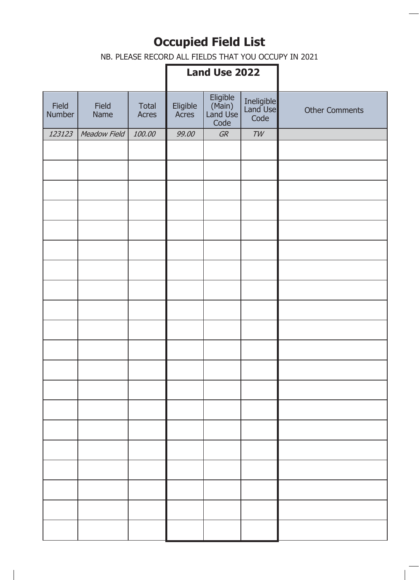# **Occupied Field List**

NB. PLEASE RECORD ALL FIELDS THAT YOU OCCUPY IN 2021

## **Land Use 2022**

| Field<br>Number | Field<br>Name | <b>Total</b><br>Acres | Eligible<br>Acres | Eligible<br>(Main)<br>Land Use<br>Code | Ineligible<br>Land Use<br>Code | <b>Other Comments</b> |
|-----------------|---------------|-----------------------|-------------------|----------------------------------------|--------------------------------|-----------------------|
| 123123          | Meadow Field  | 100.00                | 99.00             | GR                                     | TW                             |                       |
|                 |               |                       |                   |                                        |                                |                       |
|                 |               |                       |                   |                                        |                                |                       |
|                 |               |                       |                   |                                        |                                |                       |
|                 |               |                       |                   |                                        |                                |                       |
|                 |               |                       |                   |                                        |                                |                       |
|                 |               |                       |                   |                                        |                                |                       |
|                 |               |                       |                   |                                        |                                |                       |
|                 |               |                       |                   |                                        |                                |                       |
|                 |               |                       |                   |                                        |                                |                       |
|                 |               |                       |                   |                                        |                                |                       |
|                 |               |                       |                   |                                        |                                |                       |
|                 |               |                       |                   |                                        |                                |                       |
|                 |               |                       |                   |                                        |                                |                       |
|                 |               |                       |                   |                                        |                                |                       |
|                 |               |                       |                   |                                        |                                |                       |
|                 |               |                       |                   |                                        |                                |                       |
|                 |               |                       |                   |                                        |                                |                       |
|                 |               |                       |                   |                                        |                                |                       |
|                 |               |                       |                   |                                        |                                |                       |
|                 |               |                       |                   |                                        |                                |                       |